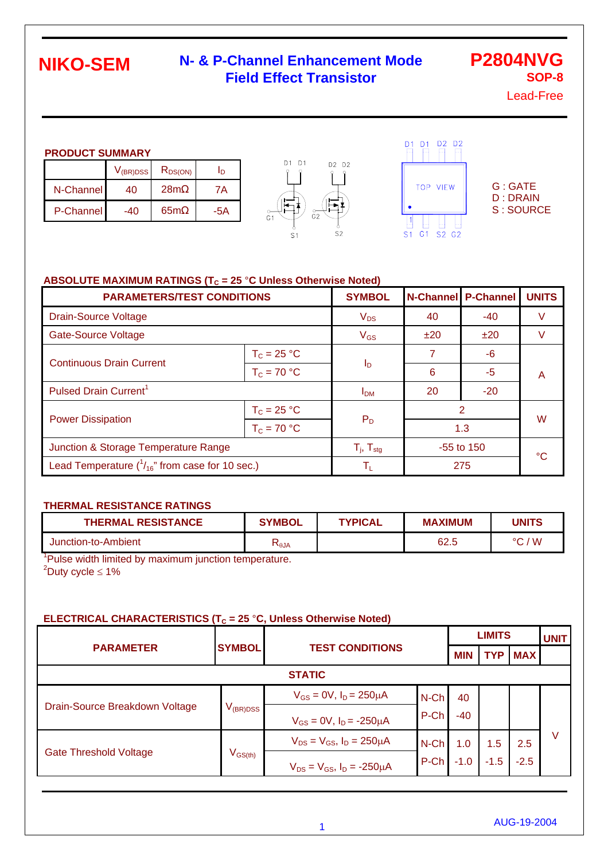### **N- & P-Channel Enhancement Mode Field Effect Transistor**

**P2804NVG SOP-8**

Lead-Free

| <b>PRODUCT SUMMARY</b> |                      |              |  |  |  |  |  |  |
|------------------------|----------------------|--------------|--|--|--|--|--|--|
|                        | V <sub>(BR)DSS</sub> | $R_{DS(ON)}$ |  |  |  |  |  |  |

|                  | V(BR)DSS | <b>KDS(ON)</b>  |     |
|------------------|----------|-----------------|-----|
| N-Channel        | 40       | 28 <sub>m</sub> | 7A  |
| <b>P-Channel</b> | -40      | 65 <sub>m</sub> | -5A |





G : GATE D : DRAIN S : SOURCE

#### ABSOLUTE MAXIMUM RATINGS ( $T_c$  = 25 °C Unless Otherwise Noted)

| <b>PARAMETERS/TEST CONDITIONS</b>                      | <b>SYMBOL</b>            |                         | <b>N-Channel P-Channel</b> | <b>UNITS</b> |   |  |
|--------------------------------------------------------|--------------------------|-------------------------|----------------------------|--------------|---|--|
| <b>Drain-Source Voltage</b>                            | $V_{DS}$                 | 40                      | -40                        | V            |   |  |
| <b>Gate-Source Voltage</b>                             | $V_{GS}$                 | ±20                     | ±20                        | V            |   |  |
| <b>Continuous Drain Current</b>                        | $T_c = 25 °C$            |                         |                            | -6           |   |  |
|                                                        | $T_c = 70 °C$            | Ιp                      | 6                          | -5           | A |  |
| Pulsed Drain Current <sup>1</sup>                      |                          | I <sub>DM</sub>         | 20                         | $-20$        |   |  |
|                                                        | $T_c = 25 °C$            |                         |                            | 2            |   |  |
| <b>Power Dissipation</b>                               | $T_c = 70 °C$            | $P_D$                   | 1.3                        | W            |   |  |
| Junction & Storage Temperature Range                   | $T_i$ , $T_{\text{stg}}$ | -55 to 150              |                            | °C           |   |  |
| Lead Temperature $(^{1}_{16}$ " from case for 10 sec.) |                          | $\mathsf{T}_\mathsf{L}$ |                            | 275          |   |  |

#### **THERMAL RESISTANCE RATINGS**

| <b>THERMAL RESISTANCE</b> | <b>SYMBOL</b>          | <b>TYPICAL</b> | <b>MAXIMUM</b> | <b>UNITS</b>  |
|---------------------------|------------------------|----------------|----------------|---------------|
| Junction-to-Ambient       | $\mathsf{N}_\theta$ JA |                | 62.5           | 'W<br>$\circ$ |

<sup>1</sup>Pulse width limited by maximum junction temperature.  $2^2$ Duty cycle  $\leq 1\%$ 

#### **ELECTRICAL CHARACTERISTICS (T<sub>C</sub> = 25 °C, Unless Otherwise Noted)**

|                                |               | <b>LIMITS</b>                          |         |            |            |            | <b>UNIT</b> |
|--------------------------------|---------------|----------------------------------------|---------|------------|------------|------------|-------------|
| <b>PARAMETER</b>               | <b>SYMBOL</b> | <b>TEST CONDITIONS</b>                 |         | <b>MIN</b> | <b>TYP</b> | <b>MAX</b> |             |
|                                |               | <b>STATIC</b>                          |         |            |            |            |             |
|                                |               | $V_{GS} = 0V$ , $I_D = 250 \mu A$      | N-Ch    | 40         |            |            |             |
| Drain-Source Breakdown Voltage | $V_{(BR)DSS}$ | $V_{GS} = 0V$ , $I_D = -250 \mu A$     | P-Ch    | -40        |            |            |             |
|                                | $V_{GS(th)}$  | $V_{DS} = V_{GS}$ , $I_D = 250 \mu A$  | $N$ -Ch | 1.0        | 1.5        | 2.5        | V           |
| <b>Gate Threshold Voltage</b>  |               | $V_{DS} = V_{GS}$ , $I_D = -250 \mu A$ | P-Ch    | $-1.0$     | $-1.5$     | $-2.5$     |             |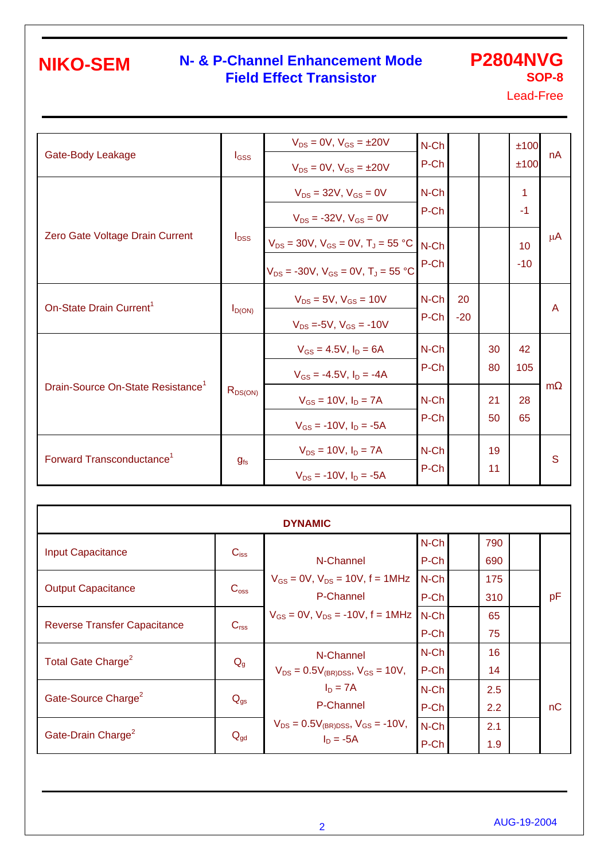### **N- & P-Channel Enhancement Mode P2804NVG Field Effect Transistor**

**SOP-8**

Lead-Free

| Gate-Body Leakage                             | $I_{GSS}$    | $V_{DS} = 0V$ , $V_{GS} = \pm 20V$<br>$V_{DS} = 0V$ , $V_{GS} = \pm 20V$                      | N-Ch<br>P-Ch    |             |          | ±100<br>±100             | nA      |
|-----------------------------------------------|--------------|-----------------------------------------------------------------------------------------------|-----------------|-------------|----------|--------------------------|---------|
|                                               |              | $V_{DS} = 32V$ , $V_{GS} = 0V$<br>$V_{DS}$ = -32V, $V_{GS}$ = 0V                              | $N$ -Ch<br>P-Ch |             |          | 1<br>$-1$                |         |
| Zero Gate Voltage Drain Current               | $I_{DSS}$    | $V_{DS}$ = 30V, $V_{GS}$ = 0V, $T_J$ = 55 °C<br>$V_{DS}$ = -30V, $V_{GS}$ = 0V, $T_A$ = 55 °C | $N$ -Ch<br>P-Ch |             |          | 10 <sup>°</sup><br>$-10$ | $\mu$ A |
| On-State Drain Current <sup>1</sup>           | $I_{D(ON)}$  | $V_{DS} = 5V$ , $V_{GS} = 10V$<br>$V_{DS} = -5V$ , $V_{GS} = -10V$                            | N-Ch<br>P-Ch    | 20<br>$-20$ |          |                          | A       |
|                                               |              | $V_{GS} = 4.5V$ , $I_D = 6A$<br>$V_{GS} = -4.5V$ , $I_D = -4A$                                | $N$ -Ch<br>P-Ch |             | 30<br>80 | 42<br>105                |         |
| Drain-Source On-State Resistance <sup>1</sup> | $R_{DS(ON)}$ | $V_{GS} = 10V$ , $I_D = 7A$<br>$V_{GS}$ = -10V, $I_D$ = -5A                                   | $N$ -Ch<br>P-Ch |             | 21<br>50 | 28<br>65                 | m       |
| Forward Transconductance <sup>1</sup>         | $g_{fs}$     | $V_{DS} = 10V, I_D = 7A$<br>$V_{DS}$ = -10V, $I_D$ = -5A                                      | $N$ -Ch<br>P-Ch |             | 19<br>11 |                          | S       |

| <b>DYNAMIC</b>                      |                  |                                                   |         |  |     |  |    |  |  |
|-------------------------------------|------------------|---------------------------------------------------|---------|--|-----|--|----|--|--|
|                                     |                  |                                                   | N-Ch    |  | 790 |  |    |  |  |
| <b>Input Capacitance</b>            | $C_{iss}$        | N-Channel                                         | P-Ch    |  | 690 |  |    |  |  |
| <b>Output Capacitance</b>           |                  | $V_{GS} = 0V$ , $V_{DS} = 10V$ , $f = 1MHz$       | N-Ch    |  | 175 |  |    |  |  |
|                                     | $C_{\rm oss}$    | P-Channel                                         | P-Ch    |  | 310 |  | pF |  |  |
| <b>Reverse Transfer Capacitance</b> |                  | $V_{GS} = 0V$ , $V_{DS} = -10V$ , $f = 1MHz$ N-Ch |         |  | 65  |  |    |  |  |
|                                     | C <sub>rss</sub> |                                                   | P-Ch    |  | 75  |  |    |  |  |
| Total Gate Charge <sup>2</sup>      |                  | N-Channel                                         | $N$ -Ch |  | 16  |  |    |  |  |
|                                     | $Q_{g}$          | $V_{DS} = 0.5V_{(BR)DSS}$ , $V_{GS} = 10V$ ,      | P-Ch    |  | 14  |  |    |  |  |
| Gate-Source Charge <sup>2</sup>     |                  | $I_D = 7A$                                        | $N$ -Ch |  | 2.5 |  |    |  |  |
|                                     | $Q_{gs}$         | P-Channel                                         | P-Ch    |  | 2.2 |  | nC |  |  |
| Gate-Drain Charge <sup>2</sup>      |                  | $V_{DS} = 0.5V_{(BR)DSS}$ , $V_{GS} = -10V$ ,     | N-Ch    |  | 2.1 |  |    |  |  |
|                                     | $Q_{gd}$         | $I_D = -5A$                                       | P-Ch    |  | 1.9 |  |    |  |  |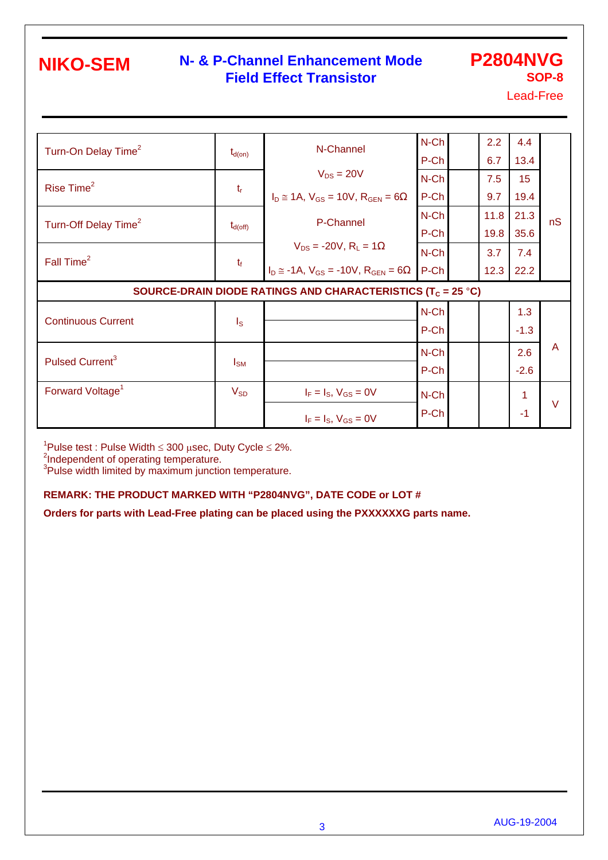#### **N- & P-Channel Enhancement Mode Field Effect Transistor**

**P2804NVG SOP-8**

Lead-Free

| Turn-On Delay Time <sup>2</sup>  |                         | N-Channel                                                               | N-Ch         | 2.2  | 4.4       |        |
|----------------------------------|-------------------------|-------------------------------------------------------------------------|--------------|------|-----------|--------|
|                                  | $t_{d(on)}$             |                                                                         | P-Ch         | 6.7  | 13.4      |        |
| Rise Time <sup>2</sup>           |                         | $V_{DS} = 20V$                                                          | N-Ch         | 7.5  | 15        |        |
|                                  | $t_{\rm r}$             | $I_D \approx 1A$ , $V_{GS} = 10V$ , $R_{GEN} = 6$                       | P-Ch         | 9.7  | 19.4      |        |
| Turn-Off Delay Time <sup>2</sup> |                         | P-Channel                                                               | $N$ -Ch      | 11.8 | 21.3      | nS     |
|                                  | $t_{d(\text{off})}$     |                                                                         | P-Ch         | 19.8 | 35.6      |        |
| Fall Time <sup>2</sup>           | $t_f$                   | $V_{DS}$ = -20V, R <sub>L</sub> = 1                                     | N-Ch         | 3.7  | 7.4       |        |
|                                  |                         | $I_D \approx -1A$ , $V_{GS} = -10V$ , $R_{GEN} = 6$                     | P-Ch         | 12.3 | 22.2      |        |
|                                  |                         | SOURCE-DRAIN DIODE RATINGS AND CHARACTERISTICS (T <sub>C</sub> = 25 °C) |              |      |           |        |
|                                  |                         |                                                                         | N-Ch         |      | 1.3       |        |
| <b>Continuous Current</b>        | $\mathsf{I}_\mathsf{S}$ |                                                                         | P-Ch         |      | $-1.3$    |        |
|                                  |                         |                                                                         |              |      |           | A      |
|                                  |                         |                                                                         | N-Ch         |      | 2.6       |        |
| Pulsed Current <sup>3</sup>      | $I_{SM}$                |                                                                         | P-Ch         |      | $-2.6$    |        |
| Forward Voltage <sup>1</sup>     | $V_{SD}$                |                                                                         |              |      |           |        |
|                                  |                         | $I_F = I_S$ , $V_{GS} = 0V$                                             | N-Ch<br>P-Ch |      | 1<br>$-1$ | $\vee$ |

<sup>1</sup>Pulse test : Pulse Width ≤ 300 µsec, Duty Cycle ≤ 2%.<br><sup>2</sup>Independent of operating temperature.

<sup>3</sup>Pulse width limited by maximum junction temperature.

#### **REMARK: THE PRODUCT MARKED WITH "P2804NVG", DATE CODE or LOT #**

**Orders for parts with Lead-Free plating can be placed using the PXXXXXXG parts name.**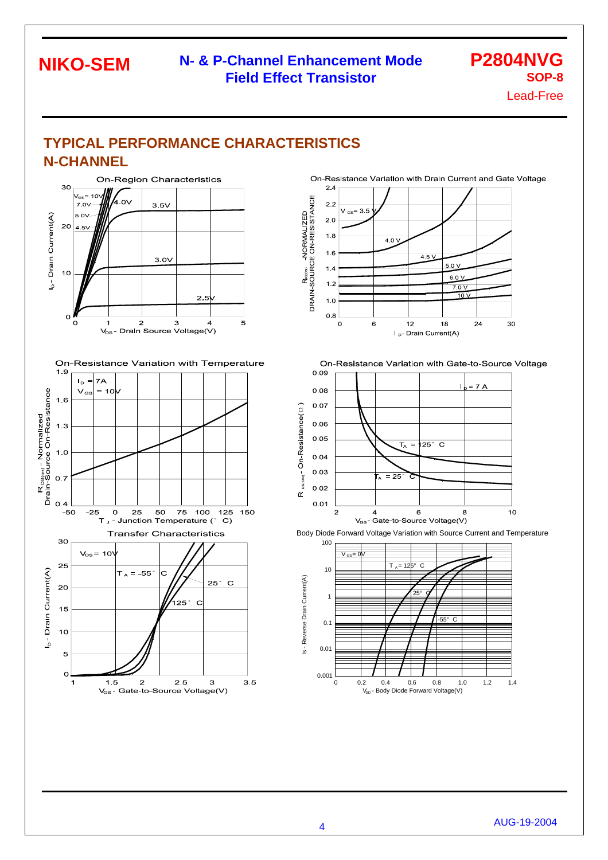#### **N- & P-Channel Enhancement Mode Field Effect Transistor**

**P2804NVG SOP-8**

Lead-Free

## **TYPICAL PERFORMANCE CHARACTERISTICS N-CHANNEL**



**NIKO-SEM** 





On-Resistance Variation with Drain Current and Gate Voltage  $24$ 



On-Resistance Variation with Gate-to-Source Voltage



Body Diode Forward Voltage Variation with Source Current and Temperature

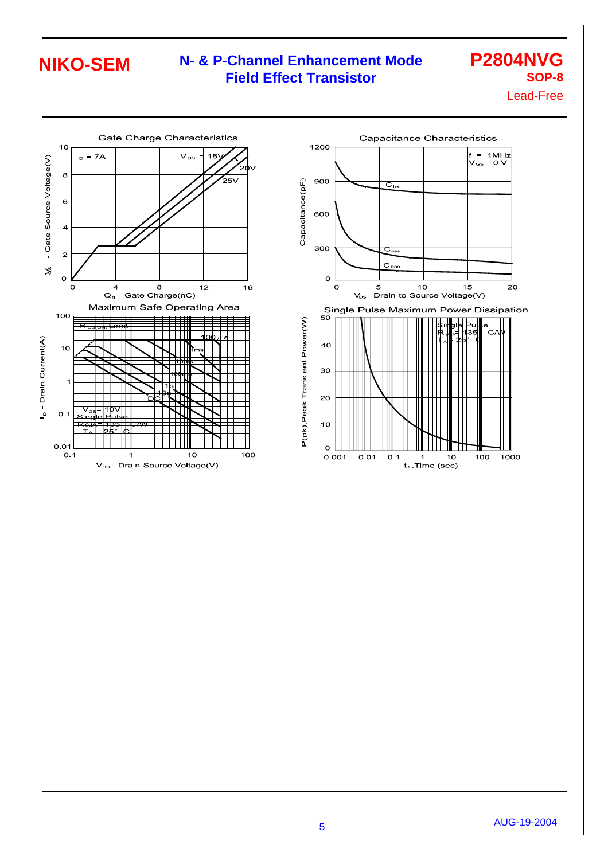## **N- & P-Channel Enhancement Mode Field Effect Transistor**

# **P2804NVG SOP-8**

Lead-Free





5 AUG-19-2004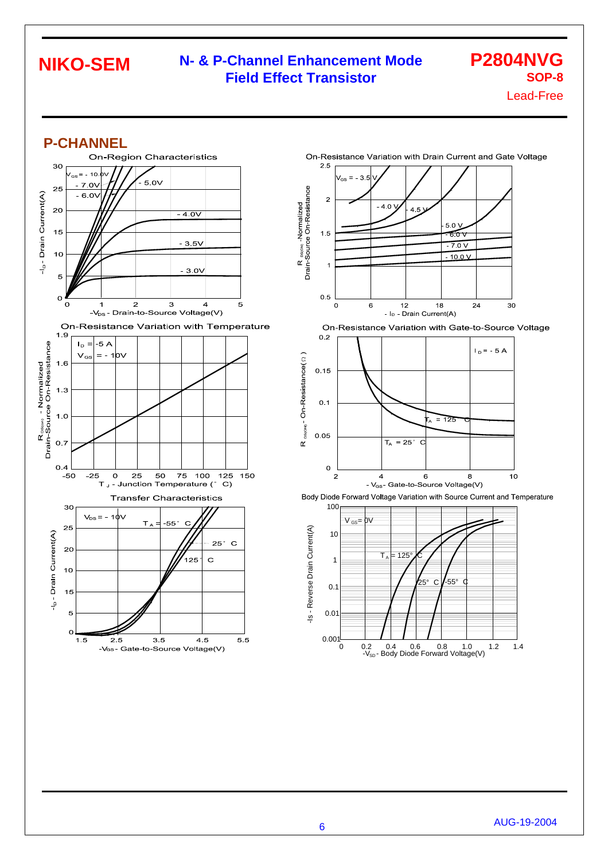#### **N- & P-Channel Enhancement Mode Field Effect Transistor**

**P2804NVG SOP-8**

Lead-Free





On-Resistance Variation with Gate-to-Source Voltage





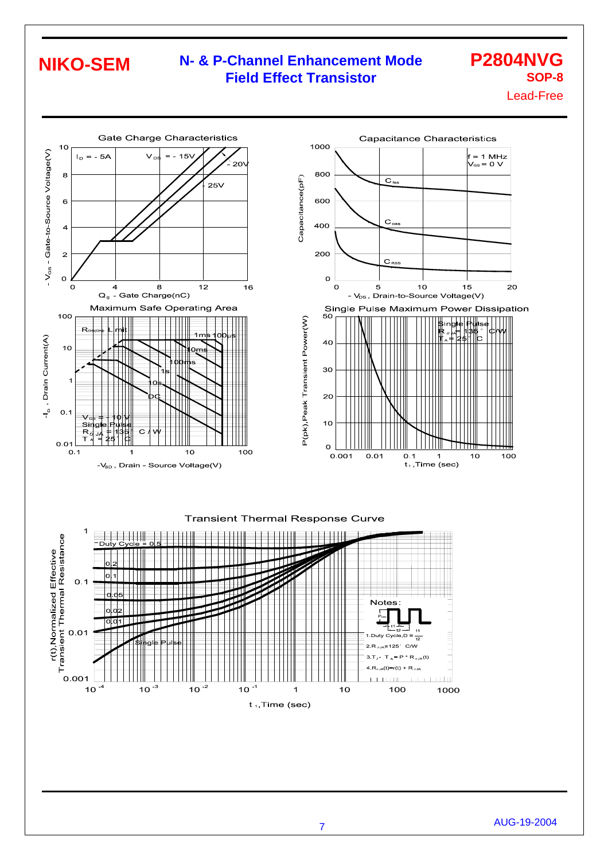### **N- & P-Channel Enhancement Mode Field Effect Transistor**

# **P2804NVG SOP-8**

Lead-Free



#### **Transient Thermal Response Curve**